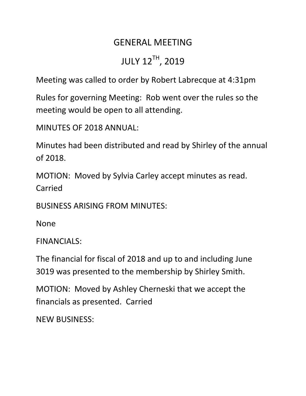## GENERAL MEETING JULY 12TH, 2019

Meeting was called to order by Robert Labrecque at 4:31pm

Rules for governing Meeting: Rob went over the rules so the meeting would be open to all attending.

MINUTES OF 2018 ANNUAL:

Minutes had been distributed and read by Shirley of the annual of 2018.

MOTION: Moved by Sylvia Carley accept minutes as read. Carried

BUSINESS ARISING FROM MINUTES:

None

FINANCIALS:

The financial for fiscal of 2018 and up to and including June 3019 was presented to the membership by Shirley Smith.

MOTION: Moved by Ashley Cherneski that we accept the financials as presented. Carried

NEW BUSINESS: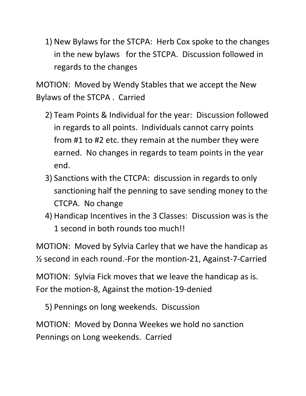1) New Bylaws for the STCPA: Herb Cox spoke to the changes in the new bylaws for the STCPA. Discussion followed in regards to the changes

MOTION: Moved by Wendy Stables that we accept the New Bylaws of the STCPA . Carried

- 2) Team Points & Individual for the year: Discussion followed in regards to all points. Individuals cannot carry points from #1 to #2 etc. they remain at the number they were earned. No changes in regards to team points in the year end.
- 3) Sanctions with the CTCPA: discussion in regards to only sanctioning half the penning to save sending money to the CTCPA. No change
- 4) Handicap Incentives in the 3 Classes: Discussion was is the 1 second in both rounds too much!!

MOTION: Moved by Sylvia Carley that we have the handicap as ½ second in each round.-For the montion-21, Against-7-Carried

MOTION: Sylvia Fick moves that we leave the handicap as is. For the motion-8, Against the motion-19-denied

5) Pennings on long weekends. Discussion

MOTION: Moved by Donna Weekes we hold no sanction Pennings on Long weekends. Carried